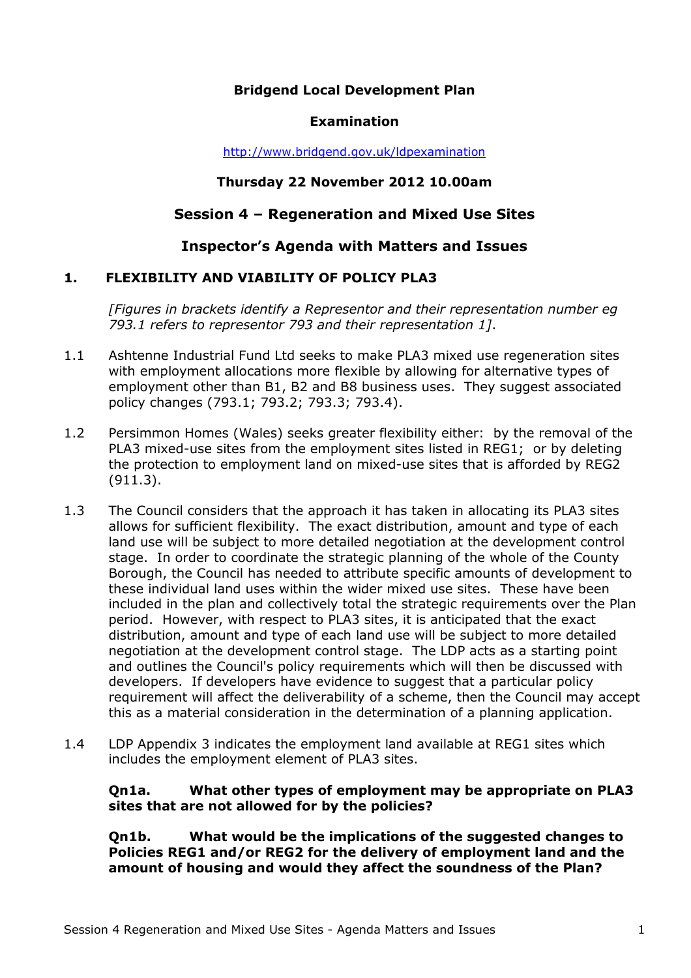# **Bridgend Local Development Plan**

#### **Examination**

http://www.bridgend.gov.uk/ldpexamination

#### **Thursday 22 November 2012 10.00am**

# **Session 4 – Regeneration and Mixed Use Sites**

# **Inspector's Agenda with Matters and Issues**

# **1. FLEXIBILITY AND VIABILITY OF POLICY PLA3**

*[Figures in brackets identify a Representor and their representation number eg 793.1 refers to representor 793 and their representation 1]*.

- 1.1 Ashtenne Industrial Fund Ltd seeks to make PLA3 mixed use regeneration sites with employment allocations more flexible by allowing for alternative types of employment other than B1, B2 and B8 business uses. They suggest associated policy changes (793.1; 793.2; 793.3; 793.4).
- 1.2 Persimmon Homes (Wales) seeks greater flexibility either: by the removal of the PLA3 mixed-use sites from the employment sites listed in REG1; or by deleting the protection to employment land on mixed-use sites that is afforded by REG2 (911.3).
- 1.3 The Council considers that the approach it has taken in allocating its PLA3 sites allows for sufficient flexibility. The exact distribution, amount and type of each land use will be subject to more detailed negotiation at the development control stage. In order to coordinate the strategic planning of the whole of the County Borough, the Council has needed to attribute specific amounts of development to these individual land uses within the wider mixed use sites. These have been included in the plan and collectively total the strategic requirements over the Plan period. However, with respect to PLA3 sites, it is anticipated that the exact distribution, amount and type of each land use will be subject to more detailed negotiation at the development control stage. The LDP acts as a starting point and outlines the Council's policy requirements which will then be discussed with developers. If developers have evidence to suggest that a particular policy requirement will affect the deliverability of a scheme, then the Council may accept this as a material consideration in the determination of a planning application.
- 1.4 LDP Appendix 3 indicates the employment land available at REG1 sites which includes the employment element of PLA3 sites.

#### **Qn1a. What other types of employment may be appropriate on PLA3 sites that are not allowed for by the policies?**

**Qn1b. What would be the implications of the suggested changes to Policies REG1 and/or REG2 for the delivery of employment land and the amount of housing and would they affect the soundness of the Plan?**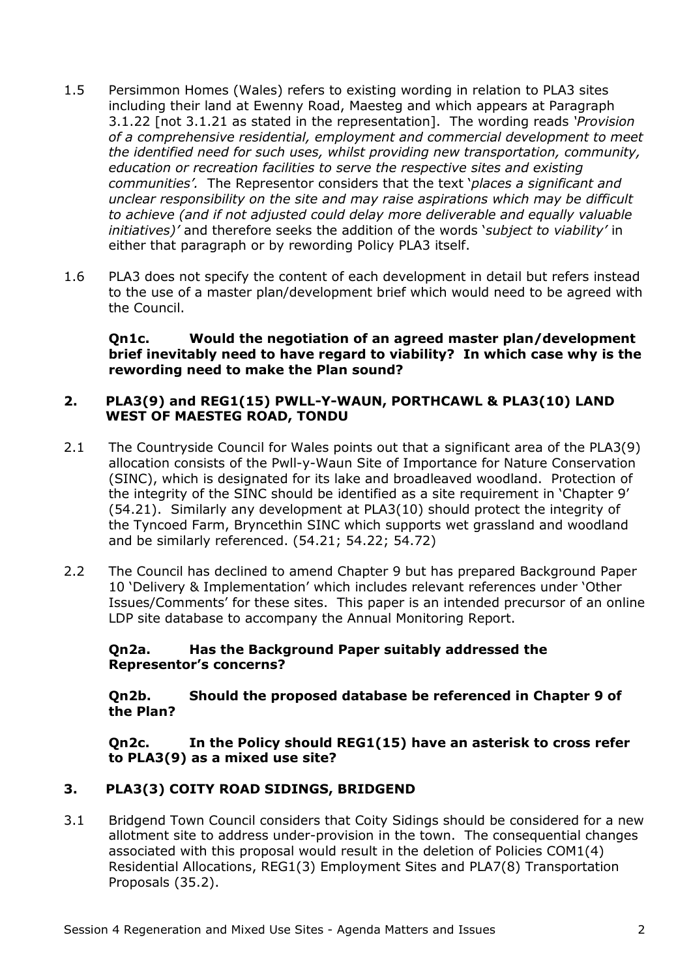- 1.5 Persimmon Homes (Wales) refers to existing wording in relation to PLA3 sites including their land at Ewenny Road, Maesteg and which appears at Paragraph 3.1.22 [not 3.1.21 as stated in the representation]. The wording reads *'Provision of a comprehensive residential, employment and commercial development to meet the identified need for such uses, whilst providing new transportation, community, education or recreation facilities to serve the respective sites and existing communities'.* The Representor considers that the text '*places a significant and unclear responsibility on the site and may raise aspirations which may be difficult to achieve (and if not adjusted could delay more deliverable and equally valuable initiatives)'* and therefore seeks the addition of the words '*subject to viability'* in either that paragraph or by rewording Policy PLA3 itself.
- 1.6 PLA3 does not specify the content of each development in detail but refers instead to the use of a master plan/development brief which would need to be agreed with the Council.

**Qn1c. Would the negotiation of an agreed master plan/development brief inevitably need to have regard to viability? In which case why is the rewording need to make the Plan sound?** 

#### **2. PLA3(9) and REG1(15) PWLL-Y-WAUN, PORTHCAWL & PLA3(10) LAND WEST OF MAESTEG ROAD, TONDU**

- 2.1 The Countryside Council for Wales points out that a significant area of the PLA3(9) allocation consists of the Pwll-y-Waun Site of Importance for Nature Conservation (SINC), which is designated for its lake and broadleaved woodland. Protection of the integrity of the SINC should be identified as a site requirement in 'Chapter 9' (54.21). Similarly any development at PLA3(10) should protect the integrity of the Tyncoed Farm, Bryncethin SINC which supports wet grassland and woodland and be similarly referenced. (54.21; 54.22; 54.72)
- 2.2 The Council has declined to amend Chapter 9 but has prepared Background Paper 10 'Delivery & Implementation' which includes relevant references under 'Other Issues/Comments' for these sites. This paper is an intended precursor of an online LDP site database to accompany the Annual Monitoring Report.

# **Qn2a. Has the Background Paper suitably addressed the Representor's concerns?**

**Qn2b. Should the proposed database be referenced in Chapter 9 of the Plan?** 

**Qn2c. In the Policy should REG1(15) have an asterisk to cross refer to PLA3(9) as a mixed use site?** 

# **3. PLA3(3) COITY ROAD SIDINGS, BRIDGEND**

3.1 Bridgend Town Council considers that Coity Sidings should be considered for a new allotment site to address under-provision in the town. The consequential changes associated with this proposal would result in the deletion of Policies COM1(4) Residential Allocations, REG1(3) Employment Sites and PLA7(8) Transportation Proposals (35.2).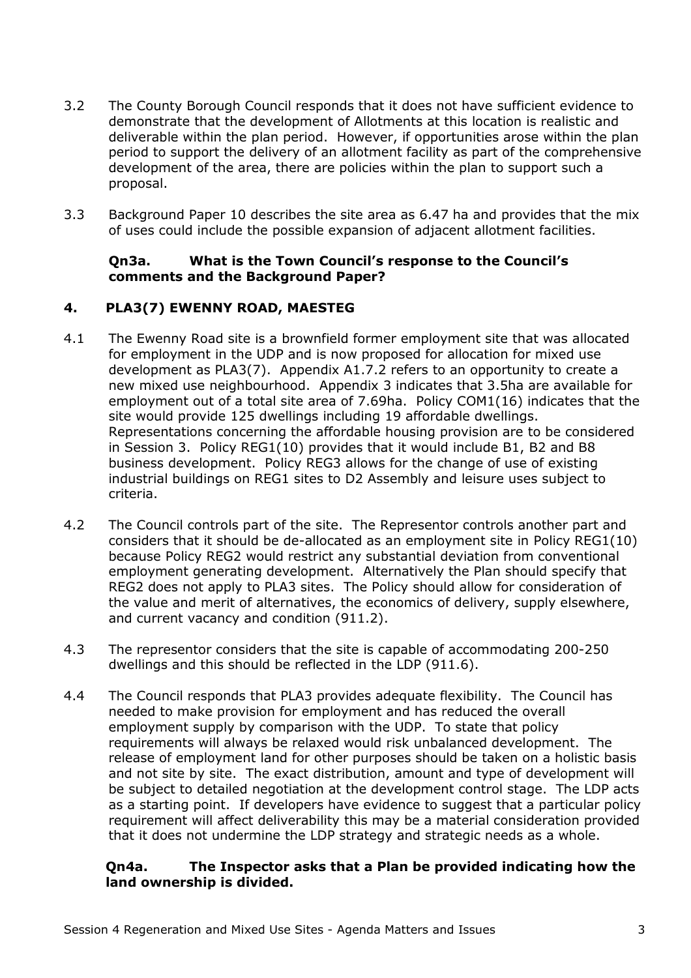- 3.2 The County Borough Council responds that it does not have sufficient evidence to demonstrate that the development of Allotments at this location is realistic and deliverable within the plan period. However, if opportunities arose within the plan period to support the delivery of an allotment facility as part of the comprehensive development of the area, there are policies within the plan to support such a proposal.
- 3.3 Background Paper 10 describes the site area as 6.47 ha and provides that the mix of uses could include the possible expansion of adjacent allotment facilities.

# **Qn3a. What is the Town Council's response to the Council's comments and the Background Paper?**

# **4. PLA3(7) EWENNY ROAD, MAESTEG**

- 4.1 The Ewenny Road site is a brownfield former employment site that was allocated for employment in the UDP and is now proposed for allocation for mixed use development as PLA3(7). Appendix A1.7.2 refers to an opportunity to create a new mixed use neighbourhood. Appendix 3 indicates that 3.5ha are available for employment out of a total site area of 7.69ha. Policy COM1(16) indicates that the site would provide 125 dwellings including 19 affordable dwellings. Representations concerning the affordable housing provision are to be considered in Session 3. Policy REG1(10) provides that it would include B1, B2 and B8 business development. Policy REG3 allows for the change of use of existing industrial buildings on REG1 sites to D2 Assembly and leisure uses subject to criteria.
- 4.2 The Council controls part of the site. The Representor controls another part and considers that it should be de-allocated as an employment site in Policy REG1(10) because Policy REG2 would restrict any substantial deviation from conventional employment generating development. Alternatively the Plan should specify that REG2 does not apply to PLA3 sites. The Policy should allow for consideration of the value and merit of alternatives, the economics of delivery, supply elsewhere, and current vacancy and condition (911.2).
- 4.3 The representor considers that the site is capable of accommodating 200-250 dwellings and this should be reflected in the LDP (911.6).
- 4.4 The Council responds that PLA3 provides adequate flexibility. The Council has needed to make provision for employment and has reduced the overall employment supply by comparison with the UDP. To state that policy requirements will always be relaxed would risk unbalanced development. The release of employment land for other purposes should be taken on a holistic basis and not site by site. The exact distribution, amount and type of development will be subject to detailed negotiation at the development control stage. The LDP acts as a starting point. If developers have evidence to suggest that a particular policy requirement will affect deliverability this may be a material consideration provided that it does not undermine the LDP strategy and strategic needs as a whole.

# **Qn4a. The Inspector asks that a Plan be provided indicating how the land ownership is divided.**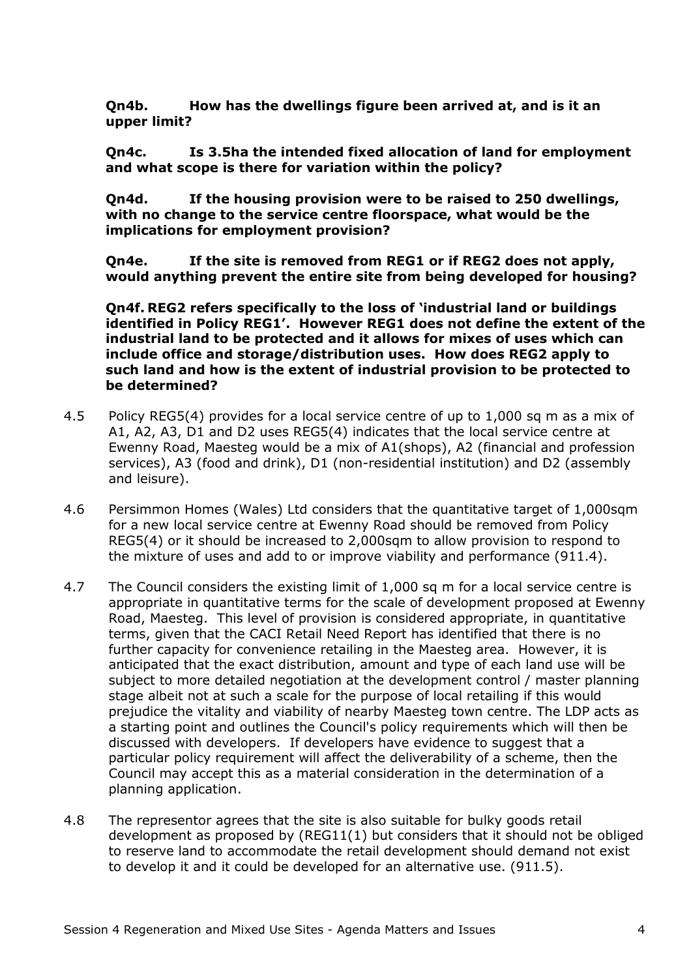**Qn4b. How has the dwellings figure been arrived at, and is it an upper limit?** 

**Qn4c. Is 3.5ha the intended fixed allocation of land for employment and what scope is there for variation within the policy?** 

**Qn4d. If the housing provision were to be raised to 250 dwellings, with no change to the service centre floorspace, what would be the implications for employment provision?** 

**Qn4e. If the site is removed from REG1 or if REG2 does not apply, would anything prevent the entire site from being developed for housing?** 

**Qn4f. REG2 refers specifically to the loss of 'industrial land or buildings identified in Policy REG1'. However REG1 does not define the extent of the industrial land to be protected and it allows for mixes of uses which can include office and storage/distribution uses. How does REG2 apply to such land and how is the extent of industrial provision to be protected to be determined?** 

- 4.5 Policy REG5(4) provides for a local service centre of up to 1,000 sq m as a mix of A1, A2, A3, D1 and D2 uses REG5(4) indicates that the local service centre at Ewenny Road, Maesteg would be a mix of A1(shops), A2 (financial and profession services), A3 (food and drink), D1 (non-residential institution) and D2 (assembly and leisure).
- 4.6 Persimmon Homes (Wales) Ltd considers that the quantitative target of 1,000sqm for a new local service centre at Ewenny Road should be removed from Policy REG5(4) or it should be increased to 2,000sqm to allow provision to respond to the mixture of uses and add to or improve viability and performance (911.4).
- 4.7 The Council considers the existing limit of 1,000 sq m for a local service centre is appropriate in quantitative terms for the scale of development proposed at Ewenny Road, Maesteg. This level of provision is considered appropriate, in quantitative terms, given that the CACI Retail Need Report has identified that there is no further capacity for convenience retailing in the Maesteg area. However, it is anticipated that the exact distribution, amount and type of each land use will be subject to more detailed negotiation at the development control / master planning stage albeit not at such a scale for the purpose of local retailing if this would prejudice the vitality and viability of nearby Maesteg town centre. The LDP acts as a starting point and outlines the Council's policy requirements which will then be discussed with developers. If developers have evidence to suggest that a particular policy requirement will affect the deliverability of a scheme, then the Council may accept this as a material consideration in the determination of a planning application.
- 4.8 The representor agrees that the site is also suitable for bulky goods retail development as proposed by (REG11(1) but considers that it should not be obliged to reserve land to accommodate the retail development should demand not exist to develop it and it could be developed for an alternative use. (911.5).